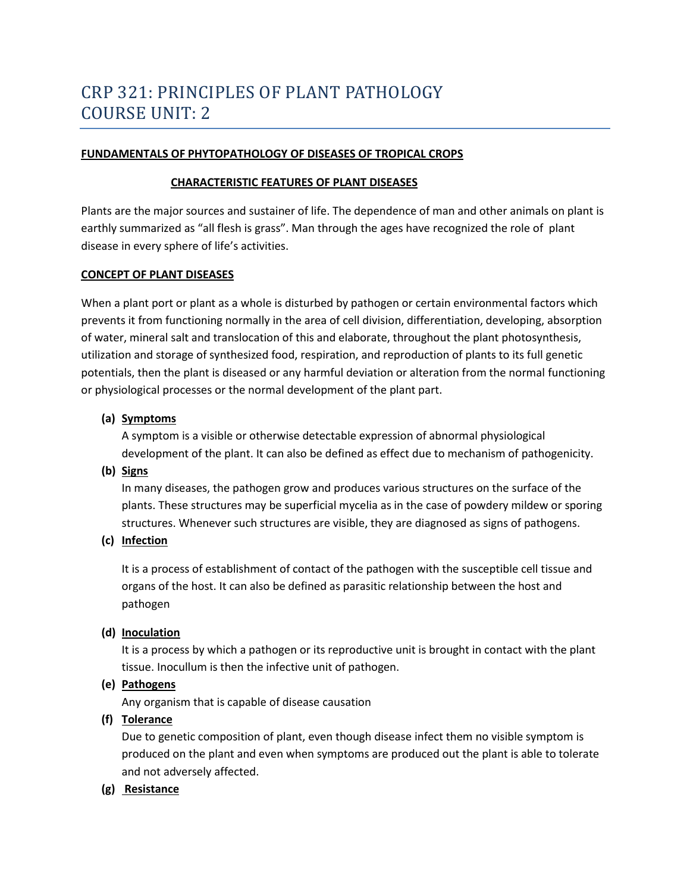#### **FUNDAMENTALS OF PHYTOPATHOLOGY OF DISEASES OF TROPICAL CROPS**

#### **CHARACTERISTIC FEATURES OF PLANT DISEASES**

Plants are the major sources and sustainer of life. The dependence of man and other animals on plant is earthly summarized as "all flesh is grass". Man through the ages have recognized the role of plant disease in every sphere of life's activities.

#### **CONCEPT OF PLANT DISEASES**

When a plant port or plant as a whole is disturbed by pathogen or certain environmental factors which prevents it from functioning normally in the area of cell division, differentiation, developing, absorption of water, mineral salt and translocation of this and elaborate, throughout the plant photosynthesis, utilization and storage of synthesized food, respiration, and reproduction of plants to its full genetic potentials, then the plant is diseased or any harmful deviation or alteration from the normal functioning or physiological processes or the normal development of the plant part.

#### **(a) Symptoms**

A symptom is a visible or otherwise detectable expression of abnormal physiological development of the plant. It can also be defined as effect due to mechanism of pathogenicity.

#### **(b) Signs**

In many diseases, the pathogen grow and produces various structures on the surface of the plants. These structures may be superficial mycelia as in the case of powdery mildew or sporing structures. Whenever such structures are visible, they are diagnosed as signs of pathogens.

#### **(c) Infection**

It is a process of establishment of contact of the pathogen with the susceptible cell tissue and organs of the host. It can also be defined as parasitic relationship between the host and pathogen

#### **(d) Inoculation**

It is a process by which a pathogen or its reproductive unit is brought in contact with the plant tissue. Inocullum is then the infective unit of pathogen.

# **(e) Pathogens**

Any organism that is capable of disease causation

# **(f) Tolerance**

Due to genetic composition of plant, even though disease infect them no visible symptom is produced on the plant and even when symptoms are produced out the plant is able to tolerate and not adversely affected.

# **(g) Resistance**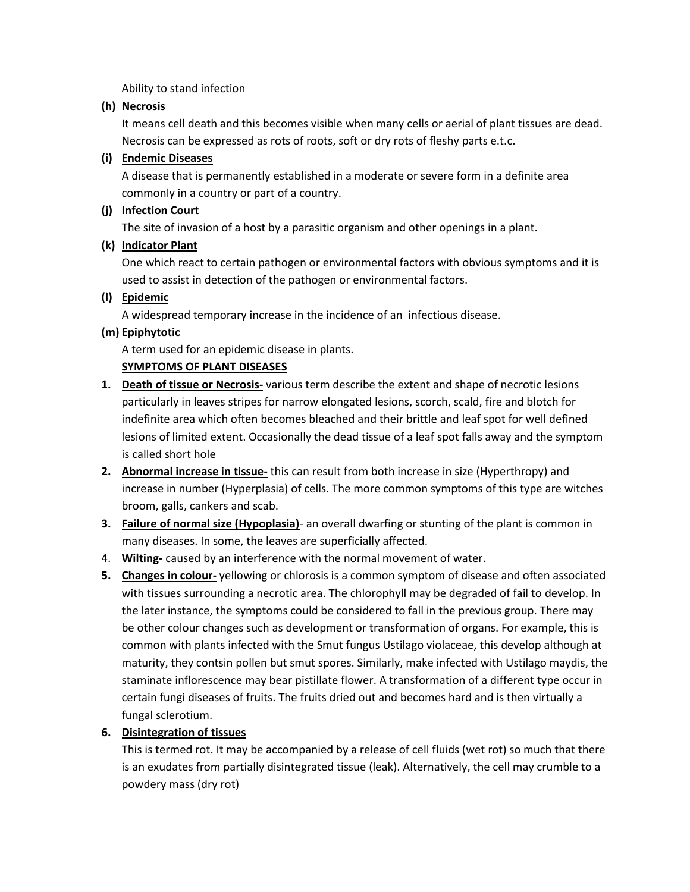Ability to stand infection

# **(h) Necrosis**

It means cell death and this becomes visible when many cells or aerial of plant tissues are dead. Necrosis can be expressed as rots of roots, soft or dry rots of fleshy parts e.t.c.

### **(i) Endemic Diseases**

A disease that is permanently established in a moderate or severe form in a definite area commonly in a country or part of a country.

### **(j) Infection Court**

The site of invasion of a host by a parasitic organism and other openings in a plant.

### **(k) Indicator Plant**

One which react to certain pathogen or environmental factors with obvious symptoms and it is used to assist in detection of the pathogen or environmental factors.

### **(l) Epidemic**

A widespread temporary increase in the incidence of an infectious disease.

### **(m) Epiphytotic**

A term used for an epidemic disease in plants.

# **SYMPTOMS OF PLANT DISEASES**

- **1. Death of tissue or Necrosis-** various term describe the extent and shape of necrotic lesions particularly in leaves stripes for narrow elongated lesions, scorch, scald, fire and blotch for indefinite area which often becomes bleached and their brittle and leaf spot for well defined lesions of limited extent. Occasionally the dead tissue of a leaf spot falls away and the symptom is called short hole
- **2. Abnormal increase in tissue-** this can result from both increase in size (Hyperthropy) and increase in number (Hyperplasia) of cells. The more common symptoms of this type are witches broom, galls, cankers and scab.
- **3. Failure of normal size (Hypoplasia)** an overall dwarfing or stunting of the plant is common in many diseases. In some, the leaves are superficially affected.
- 4. **Wilting-** caused by an interference with the normal movement of water.
- **5. Changes in colour-** yellowing or chlorosis is a common symptom of disease and often associated with tissues surrounding a necrotic area. The chlorophyll may be degraded of fail to develop. In the later instance, the symptoms could be considered to fall in the previous group. There may be other colour changes such as development or transformation of organs. For example, this is common with plants infected with the Smut fungus Ustilago violaceae, this develop although at maturity, they contsin pollen but smut spores. Similarly, make infected with Ustilago maydis, the staminate inflorescence may bear pistillate flower. A transformation of a different type occur in certain fungi diseases of fruits. The fruits dried out and becomes hard and is then virtually a fungal sclerotium.

# **6. Disintegration of tissues**

This is termed rot. It may be accompanied by a release of cell fluids (wet rot) so much that there is an exudates from partially disintegrated tissue (leak). Alternatively, the cell may crumble to a powdery mass (dry rot)